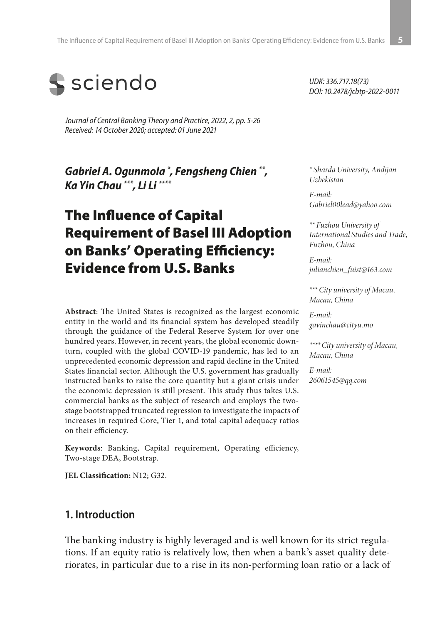

*Journal of Central Banking Theory and Practice, 2022, 2, pp. 5-26 Received: 14 October 2020; accepted: 01 June 2021*

*Gabriel A. Ogunmola \* , Fengsheng Chien \*\*, Ka Yin Chau \*\*\*, Li Li \*\*\*\**

# The Influence of Capital Requirement of Basel III Adoption on Banks' Operating Efficiency: Evidence from U.S. Banks

**Abstract**: The United States is recognized as the largest economic entity in the world and its financial system has developed steadily through the guidance of the Federal Reserve System for over one hundred years. However, in recent years, the global economic downturn, coupled with the global COVID-19 pandemic, has led to an unprecedented economic depression and rapid decline in the United States financial sector. Although the U.S. government has gradually instructed banks to raise the core quantity but a giant crisis under the economic depression is still present. This study thus takes U.S. commercial banks as the subject of research and employs the twostage bootstrapped truncated regression to investigate the impacts of increases in required Core, Tier 1, and total capital adequacy ratios on their efficiency.

**Keywords**: Banking, Capital requirement, Operating efficiency, Two-stage DEA, Bootstrap.

**JEL Classification:** N12; G32.

#### **1. Introduction**

The banking industry is highly leveraged and is well known for its strict regulations. If an equity ratio is relatively low, then when a bank's asset quality deteriorates, in particular due to a rise in its non-performing loan ratio or a lack of

*UDK: 336.717.18(73) DOI: 10.2478/jcbtp-2022-0011*

*\* Sharda University, Andijan Uzbekistan*

*E-mail: Gabriel00lead@yahoo.com*

*\*\* Fuzhou University of International Studies and Trade, Fuzhou, China*

*E-mail: julianchien\_fuist@163.com*

*\*\*\* City university of Macau, Macau, China*

*E-mail: gavinchau@cityu.mo*

*\*\*\*\* City university of Macau, Macau, China*

*E-mail: 26061545@qq.com*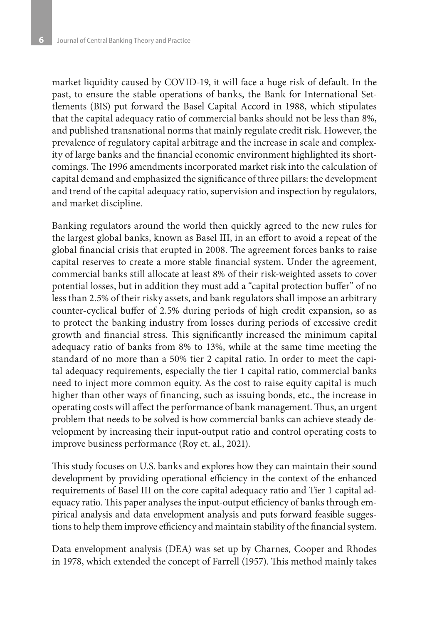market liquidity caused by COVID-19, it will face a huge risk of default. In the past, to ensure the stable operations of banks, the Bank for International Settlements (BIS) put forward the Basel Capital Accord in 1988, which stipulates that the capital adequacy ratio of commercial banks should not be less than 8%, and published transnational norms that mainly regulate credit risk. However, the prevalence of regulatory capital arbitrage and the increase in scale and complexity of large banks and the financial economic environment highlighted its shortcomings. The 1996 amendments incorporated market risk into the calculation of capital demand and emphasized the significance of three pillars: the development and trend of the capital adequacy ratio, supervision and inspection by regulators, and market discipline.

Banking regulators around the world then quickly agreed to the new rules for the largest global banks, known as Basel III, in an effort to avoid a repeat of the global financial crisis that erupted in 2008. The agreement forces banks to raise capital reserves to create a more stable financial system. Under the agreement, commercial banks still allocate at least 8% of their risk-weighted assets to cover potential losses, but in addition they must add a "capital protection buffer" of no less than 2.5% of their risky assets, and bank regulators shall impose an arbitrary counter-cyclical buffer of 2.5% during periods of high credit expansion, so as to protect the banking industry from losses during periods of excessive credit growth and financial stress. This significantly increased the minimum capital adequacy ratio of banks from 8% to 13%, while at the same time meeting the standard of no more than a 50% tier 2 capital ratio. In order to meet the capital adequacy requirements, especially the tier 1 capital ratio, commercial banks need to inject more common equity. As the cost to raise equity capital is much higher than other ways of financing, such as issuing bonds, etc., the increase in operating costs will affect the performance of bank management. Thus, an urgent problem that needs to be solved is how commercial banks can achieve steady development by increasing their input-output ratio and control operating costs to improve business performance (Roy et. al., 2021).

This study focuses on U.S. banks and explores how they can maintain their sound development by providing operational efficiency in the context of the enhanced requirements of Basel III on the core capital adequacy ratio and Tier 1 capital adequacy ratio. This paper analyses the input-output efficiency of banks through empirical analysis and data envelopment analysis and puts forward feasible suggestions to help them improve efficiency and maintain stability of the financial system.

Data envelopment analysis (DEA) was set up by Charnes, Cooper and Rhodes in 1978, which extended the concept of Farrell (1957). This method mainly takes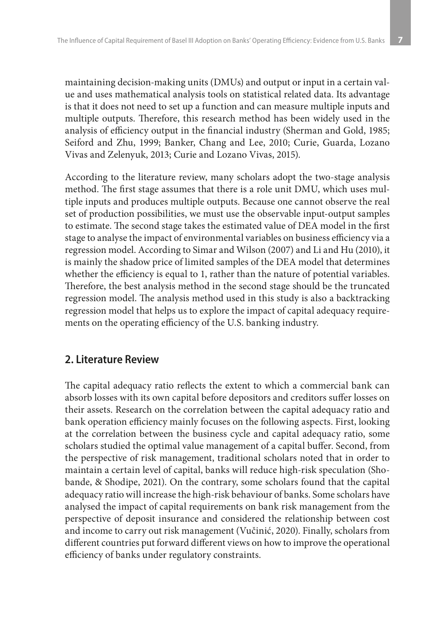maintaining decision-making units (DMUs) and output or input in a certain value and uses mathematical analysis tools on statistical related data. Its advantage is that it does not need to set up a function and can measure multiple inputs and multiple outputs. Therefore, this research method has been widely used in the analysis of efficiency output in the financial industry (Sherman and Gold, 1985; Seiford and Zhu, 1999; Banker, Chang and Lee, 2010; Curie, Guarda, Lozano Vivas and Zelenyuk, 2013; Curie and Lozano Vivas, 2015).

According to the literature review, many scholars adopt the two-stage analysis method. The first stage assumes that there is a role unit DMU, which uses multiple inputs and produces multiple outputs. Because one cannot observe the real set of production possibilities, we must use the observable input-output samples to estimate. The second stage takes the estimated value of DEA model in the first stage to analyse the impact of environmental variables on business efficiency via a regression model. According to Simar and Wilson (2007) and Li and Hu (2010), it is mainly the shadow price of limited samples of the DEA model that determines whether the efficiency is equal to 1, rather than the nature of potential variables. Therefore, the best analysis method in the second stage should be the truncated regression model. The analysis method used in this study is also a backtracking regression model that helps us to explore the impact of capital adequacy requirements on the operating efficiency of the U.S. banking industry.

#### **2. Literature Review**

The capital adequacy ratio reflects the extent to which a commercial bank can absorb losses with its own capital before depositors and creditors suffer losses on their assets. Research on the correlation between the capital adequacy ratio and bank operation efficiency mainly focuses on the following aspects. First, looking at the correlation between the business cycle and capital adequacy ratio, some scholars studied the optimal value management of a capital buffer. Second, from the perspective of risk management, traditional scholars noted that in order to maintain a certain level of capital, banks will reduce high-risk speculation (Shobande, & Shodipe, 2021). On the contrary, some scholars found that the capital adequacy ratio will increase the high-risk behaviour of banks. Some scholars have analysed the impact of capital requirements on bank risk management from the perspective of deposit insurance and considered the relationship between cost and income to carry out risk management (Vučinić, 2020). Finally, scholars from different countries put forward different views on how to improve the operational efficiency of banks under regulatory constraints.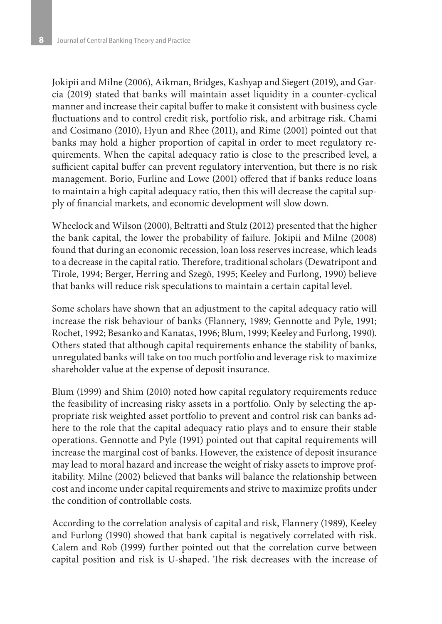Jokipii and Milne (2006), Aikman, Bridges, Kashyap and Siegert (2019), and Garcia (2019) stated that banks will maintain asset liquidity in a counter-cyclical manner and increase their capital buffer to make it consistent with business cycle fluctuations and to control credit risk, portfolio risk, and arbitrage risk. Chami and Cosimano (2010), Hyun and Rhee (2011), and Rime (2001) pointed out that banks may hold a higher proportion of capital in order to meet regulatory requirements. When the capital adequacy ratio is close to the prescribed level, a sufficient capital buffer can prevent regulatory intervention, but there is no risk management. Borio, Furline and Lowe (2001) offered that if banks reduce loans to maintain a high capital adequacy ratio, then this will decrease the capital supply of financial markets, and economic development will slow down.

Wheelock and Wilson (2000), Beltratti and Stulz (2012) presented that the higher the bank capital, the lower the probability of failure. Jokipii and Milne (2008) found that during an economic recession, loan loss reserves increase, which leads to a decrease in the capital ratio. Therefore, traditional scholars (Dewatripont and Tirole, 1994; Berger, Herring and Szegö, 1995; Keeley and Furlong, 1990) believe that banks will reduce risk speculations to maintain a certain capital level.

Some scholars have shown that an adjustment to the capital adequacy ratio will increase the risk behaviour of banks (Flannery, 1989; Gennotte and Pyle, 1991; Rochet, 1992; Besanko and Kanatas, 1996; Blum, 1999; Keeley and Furlong, 1990). Others stated that although capital requirements enhance the stability of banks, unregulated banks will take on too much portfolio and leverage risk to maximize shareholder value at the expense of deposit insurance.

Blum (1999) and Shim (2010) noted how capital regulatory requirements reduce the feasibility of increasing risky assets in a portfolio. Only by selecting the appropriate risk weighted asset portfolio to prevent and control risk can banks adhere to the role that the capital adequacy ratio plays and to ensure their stable operations. Gennotte and Pyle (1991) pointed out that capital requirements will increase the marginal cost of banks. However, the existence of deposit insurance may lead to moral hazard and increase the weight of risky assets to improve profitability. Milne (2002) believed that banks will balance the relationship between cost and income under capital requirements and strive to maximize profits under the condition of controllable costs.

According to the correlation analysis of capital and risk, Flannery (1989), Keeley and Furlong (1990) showed that bank capital is negatively correlated with risk. Calem and Rob (1999) further pointed out that the correlation curve between capital position and risk is U-shaped. The risk decreases with the increase of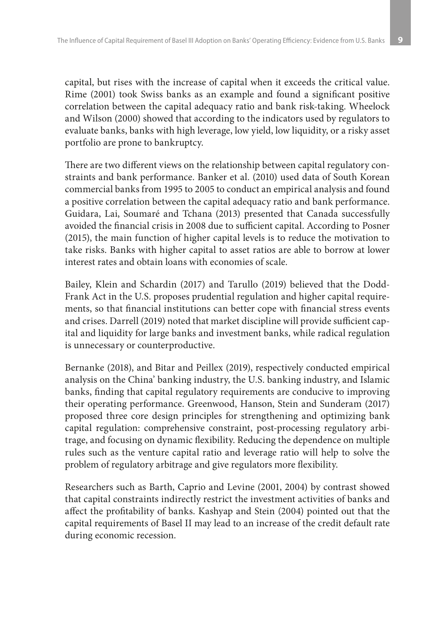capital, but rises with the increase of capital when it exceeds the critical value. Rime (2001) took Swiss banks as an example and found a significant positive correlation between the capital adequacy ratio and bank risk-taking. Wheelock and Wilson (2000) showed that according to the indicators used by regulators to evaluate banks, banks with high leverage, low yield, low liquidity, or a risky asset portfolio are prone to bankruptcy.

There are two different views on the relationship between capital regulatory constraints and bank performance. Banker et al. (2010) used data of South Korean commercial banks from 1995 to 2005 to conduct an empirical analysis and found a positive correlation between the capital adequacy ratio and bank performance. Guidara, Lai, Soumaré and Tchana (2013) presented that Canada successfully avoided the financial crisis in 2008 due to sufficient capital. According to Posner (2015), the main function of higher capital levels is to reduce the motivation to take risks. Banks with higher capital to asset ratios are able to borrow at lower interest rates and obtain loans with economies of scale.

Bailey, Klein and Schardin (2017) and Tarullo (2019) believed that the Dodd-Frank Act in the U.S. proposes prudential regulation and higher capital requirements, so that financial institutions can better cope with financial stress events and crises. Darrell (2019) noted that market discipline will provide sufficient capital and liquidity for large banks and investment banks, while radical regulation is unnecessary or counterproductive.

Bernanke (2018), and Bitar and Peillex (2019), respectively conducted empirical analysis on the China' banking industry, the U.S. banking industry, and Islamic banks, finding that capital regulatory requirements are conducive to improving their operating performance. Greenwood, Hanson, Stein and Sunderam (2017) proposed three core design principles for strengthening and optimizing bank capital regulation: comprehensive constraint, post-processing regulatory arbitrage, and focusing on dynamic flexibility. Reducing the dependence on multiple rules such as the venture capital ratio and leverage ratio will help to solve the problem of regulatory arbitrage and give regulators more flexibility.

Researchers such as Barth, Caprio and Levine (2001, 2004) by contrast showed that capital constraints indirectly restrict the investment activities of banks and affect the profitability of banks. Kashyap and Stein (2004) pointed out that the capital requirements of Basel II may lead to an increase of the credit default rate during economic recession.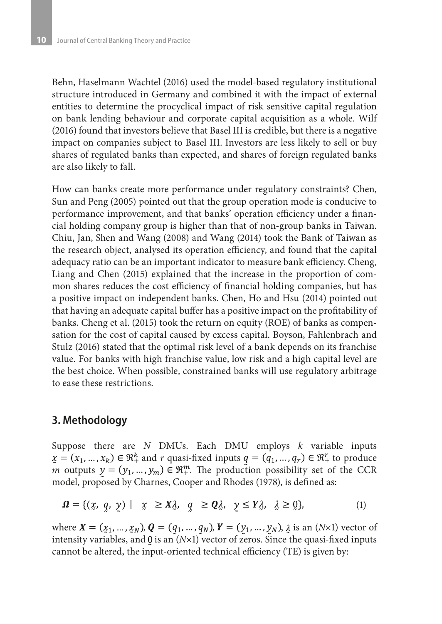Behn, Haselmann Wachtel (2016) used the model-based regulatory institutional structure introduced in Germany and combined it with the impact of external entities to determine the procyclical impact of risk sensitive capital regulation on bank lending behaviour and corporate capital acquisition as a whole. Wilf (2016) found that investors believe that Basel III is credible, but there is a negative impact on companies subject to Basel III. Investors are less likely to sell or buy shares of regulated banks than expected, and shares of foreign regulated banks are also likely to fall.

How can banks create more performance under regulatory constraints? Chen, Sun and Peng (2005) pointed out that the group operation mode is conducive to performance improvement, and that banks' operation efficiency under a financial holding company group is higher than that of non-group banks in Taiwan. Chiu, Jan, Shen and Wang (2008) and Wang (2014) took the Bank of Taiwan as the research object, analysed its operation efficiency, and found that the capital adequacy ratio can be an important indicator to measure bank efficiency. Cheng, Liang and Chen (2015) explained that the increase in the proportion of common shares reduces the cost efficiency of financial holding companies, but has a positive impact on independent banks. Chen, Ho and Hsu (2014) pointed out that having an adequate capital buffer has a positive impact on the profitability of banks. Cheng et al. (2015) took the return on equity (ROE) of banks as compensation for the cost of capital caused by excess capital. Boyson, Fahlenbrach and Stulz (2016) stated that the optimal risk level of a bank depends on its franchise value. For banks with high franchise value, low risk and a high capital level are the best choice. When possible, constrained banks will use regulatory arbitrage to ease these restrictions.

## **3. Methodology**

Suppose there are *N* DMUs. Each DMU employs *k* variable inputs  $x = (x_1, ..., x_k) \in \mathbb{R}^k_+$  and r quasi-fixed inputs  $q = (q_1, ..., q_r) \in \mathbb{R}^r_+$  to produce *m* outputs  $y = (y_1, ..., y_m) \in \mathbb{R}^m_+$ . The production possibility set of the CCR model, proposed by Charnes, Cooper and Rhodes (1978), is defined as:

$$
\Omega = \{ (x, q, y) \mid x \ge X \lambda, q \ge Q \lambda, y \le Y \lambda, \lambda \ge 0 \},
$$
 (1)

where  $X = (x_1, ..., x_N)$ ,  $Q = (q_1, ..., q_N)$ ,  $Y = (y_1, ..., y_N)$ ,  $\lambda$  is an (*N*×1) vector of intensity variables, and  $\theta$  is an  $(N\times1)$  vector of zeros. Since the quasi-fixed inputs cannot be altered, the input-oriented technical efficiency (TE) is given by: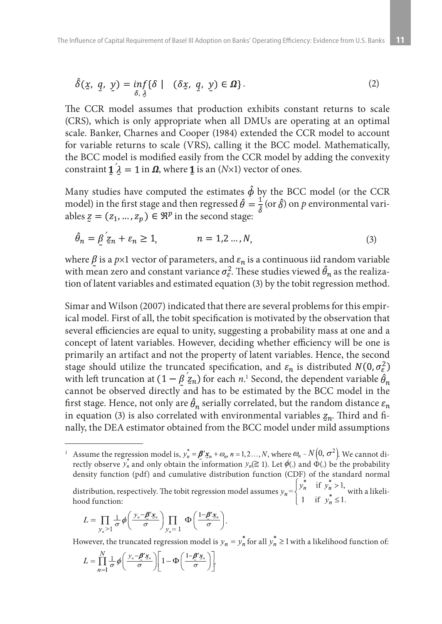$$
\hat{\delta}(\underline{x}, q, \underline{y}) = \inf_{\delta, \lambda} \{ \delta \mid (\delta \underline{x}, q, \underline{y}) \in \Omega \}.
$$
 (2)

The CCR model assumes that production exhibits constant returns to scale (CRS), which is only appropriate when all DMUs are operating at an optimal scale. Banker, Charnes and Cooper (1984) extended the CCR model to account for variable returns to scale (VRS), calling it the BCC model. Mathematically, the BCC model is modified easily from the CCR model by adding the convexity constraint  $\mathbf{1} \hat{\lambda} = 1$  in  $\boldsymbol{\Omega}$ , where **1** is an (*N*×1) vector of ones.

Many studies have computed the estimates  $\hat{\phi}$  by the BCC model (or the CCR model) in the first stage and then regressed  $\hat{\theta} = \frac{1}{\hat{s}}$  (or  $\hat{\delta}$ ) on *p* environmental variables  $z = (z_1, ..., z_p) \in \mathbb{R}^p$  in the second stage:

$$
\hat{\theta}_n = \hat{\beta} \, \zeta_n + \varepsilon_n \ge 1, \qquad n = 1, 2 \dots, N,
$$
\n<sup>(3)</sup>

where  $\beta$  is a  $p\times1$  vector of parameters, and  $\varepsilon_n$  is a continuous iid random variable with mean zero and constant variance  $\sigma_{\epsilon}^2$ . These studies viewed  $\hat{\theta}_n$  as the realization of latent variables and estimated equation (3) by the tobit regression method.

Simar and Wilson (2007) indicated that there are several problems for this empirical model. First of all, the tobit specification is motivated by the observation that several efficiencies are equal to unity, suggesting a probability mass at one and a concept of latent variables. However, deciding whether efficiency will be one is primarily an artifact and not the property of latent variables. Hence, the second stage should utilize the truncated specification, and  $\varepsilon_n$  is distributed  $N(0, \sigma_{\varepsilon}^2)$ with left truncation at  $(1 - \beta z_n)$  for each *n*.<sup>1</sup> Second, the dependent variable cannot be observed directly and has to be estimated by the BCC model in the first stage. Hence, not only are  $\hat{\theta}_n$  serially correlated, but the random distance  $\varepsilon_n$ in equation (3) is also correlated with environmental variables  $z_n$ . Third and finally, the DEA estimator obtained from the BCC model under mild assumptions

<sup>1</sup> Assume the regression model is,  $y_n^* = \boldsymbol{\beta}' \underline{\mathbf{x}}_n + \omega_m n = 1, 2, ..., N$ , where  $\omega_n \sim N(0, \sigma^2)$ . We cannot directly observe  $y_n$  and only obtain the information  $y_n(\geq 1)$ . Let  $\phi(.)$  and  $\dot{\Phi}(.)$  be the probability density function (pdf) and cumulative distribution function (CDF) of the standard normal

distribution, respectively. The tobit regression model assumes  $y_n = \{f_n, \ldots, f_n\}$  with a likelihood function:

$$
L = \prod_{y_n > 1} \frac{1}{\sigma} \phi \left( \frac{y_n - \cancel{\pmb{B}}' \mathbf{x}_n}{\sigma} \right) \prod_{y_n = 1} \Phi \left( \frac{1 - \cancel{\pmb{B}}' \mathbf{x}_n}{\sigma} \right).
$$

However, the truncated regression model is  $y_n = y_n^*$  for all  $y_n^* \ge 1$  with a likelihood function of:

$$
L = \prod_{n=1}^{N} \frac{1}{\sigma} \phi \left( \frac{y_n - \underline{\beta}' x_n}{\sigma} \right) \left[ 1 - \Phi \left( \frac{1 - \underline{\beta}' x_n}{\sigma} \right) \right].
$$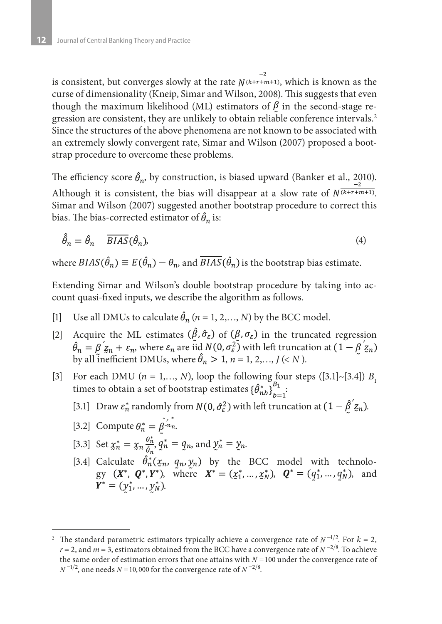is consistent, but converges slowly at the rate  $N^{\frac{-2}{(k+r+m+1)}}$ , which is known as the curse of dimensionality (Kneip, Simar and Wilson, 2008). This suggests that even though the maximum likelihood (ML) estimators of  $\beta$  in the second-stage regression are consistent, they are unlikely to obtain reliable conference intervals.2 Since the structures of the above phenomena are not known to be associated with an extremely slowly convergent rate, Simar and Wilson (2007) proposed a bootstrap procedure to overcome these problems.

The efficiency score  $\hat{\theta}_n$ , by construction, is biased upward (Banker et al., 2010). Although it is consistent, the bias will disappear at a slow rate of  $N^{\frac{2}{(k+r+m+1)}}$ . Simar and Wilson (2007) suggested another bootstrap procedure to correct this bias. The bias-corrected estimator of  $\hat{\theta}_n$  is:

$$
\hat{\hat{\theta}}_n = \hat{\theta}_n - \overline{BIAS}(\hat{\theta}_n),\tag{4}
$$

where  $BIAS(\hat{\theta}_n) \equiv E(\hat{\theta}_n) - \theta_n$ , and  $\overline{BIAS}(\hat{\theta}_n)$  is the bootstrap bias estimate.

Extending Simar and Wilson's double bootstrap procedure by taking into account quasi-fixed inputs, we describe the algorithm as follows.

- [1] Use all DMUs to calculate  $\hat{\theta}_n$  ( $n = 1, 2, ..., N$ ) by the BCC model.
- [2] Acquire the ML estimates  $(\hat{\beta}, \hat{\sigma}_{\varepsilon})$  of  $(\beta, \sigma_{\varepsilon})$  in the truncated regression , where  $\varepsilon_n$  are iid  $N(0, \sigma_{\varepsilon}^2)$  with left truncation at by all inefficient DMUs, where  $\theta_n > 1$ ,  $n = 1, 2, ..., J$  (< *N*).
- [3] For each DMU  $(n = 1,..., N)$ , loop the following four steps  $([3.1] \sim [3.4]) B$ times to obtain a set of bootstrap estimates  $\{\hat{\theta}_{nb}^*\}_{n=1}^{B_1}$ .
	- [3.1] Draw  $\varepsilon_n^*$  randomly from  $N(0, \hat{\sigma}_\varepsilon^2)$  with left truncation at  $(1 \hat{\beta} z_n)$ .

[3.2] Compute 
$$
\theta_n^* = \hat{\beta}^{\cdot n} n
$$
.

[3.3] Set 
$$
\chi_n^* = \chi_n \frac{\theta_n^*}{\theta_n}
$$
,  $q_n^* = q_n$ , and  $\chi_n^* = \chi_n$ .

[3.4] Calculate  $\theta_n^*(\mathfrak{X}_n, q_n, \mathfrak{Y}_n)$  by the BCC model with technology  $(X^*, Q^*, Y^*)$ , where  $X^* = (x_1^*, ..., x_N^*)$ ,  $Q^* = (q_1^*, ..., q_N^*)$ , and .

<sup>&</sup>lt;sup>2</sup> The standard parametric estimators typically achieve a convergence rate of  $N^{-1/2}$ . For  $k = 2$ ,  $r = 2$ , and  $m = 3$ , estimators obtained from the BCC have a convergence rate of  $N^{-2/8}$ . To achieve the same order of estimation errors that one attains with  $N = 100$  under the convergence rate of  $N^{-1/2}$ , one needs  $N = 10,000$  for the convergence rate of  $N^{-2/8}$ .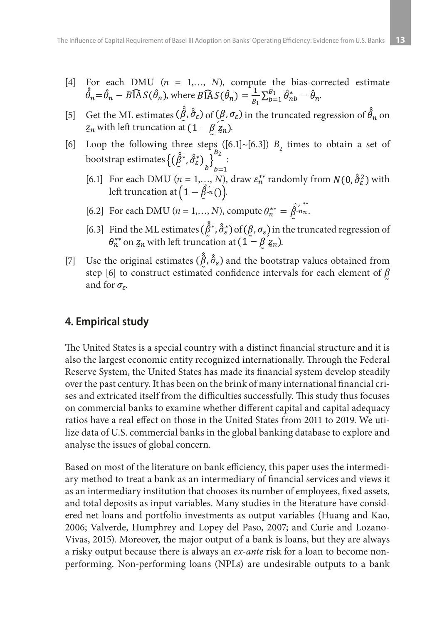- [4] For each DMU (*n* = 1,…, *N*), compute the bias-corrected estimate  $\hat{\hat{\theta}}_n = \hat{\theta}_n - B \widehat{A} S(\hat{\theta}_n)$ , where  $B \widehat{A} S(\hat{\theta}_n) = \frac{1}{B} \sum_{b=1}^{B} \hat{\theta}_{nb}^* - \hat{\theta}_n$ .
- [5] Get the ML estimates  $(\hat{\beta}, \hat{\sigma}_{\varepsilon})$  of  $(\beta, \sigma_{\varepsilon})$  in the truncated regression of  $\hat{\theta}_n$  on  $z_n$  with left truncation at  $(1 - \beta \hat{z}_n)$ .
- [6] Loop the following three steps  $([6.1] \sim [6.3])$   $B_2$  times to obtain a set of bootstrap estimates  $\{(\beta^*, \hat{\sigma}_{\varepsilon}^*)\}\$  :
	- [6.1] For each DMU ( $n = 1,..., N$ ), draw  $\varepsilon_n^{**}$  randomly from  $N(0, \hat{\sigma}_\varepsilon^2)$  with left truncation at  $(1 - \hat{\beta} n)$ .
	- [6.2] For each DMU (*n* = 1,..., *N*), compute  $\theta_n^{**} = \hat{\beta}_{n}^{(*)}$ .
	- [6.3] Find the ML estimates  $(\hat{\beta}^*, \hat{\sigma}_\varepsilon^*)$  of  $(\beta, \sigma_\varepsilon)$  in the truncated regression of  $\theta_n^{**}$  on  $z_n$  with left truncation at  $(1 - \beta z_n)$ .
- [7] Use the original estimates  $(\hat{\beta}, \hat{\sigma}_{\varepsilon})$  and the bootstrap values obtained from step [6] to construct estimated confidence intervals for each element of  $\beta$ and for  $\sigma_{\varepsilon}$ .

# **4. Empirical study**

The United States is a special country with a distinct financial structure and it is also the largest economic entity recognized internationally. Through the Federal Reserve System, the United States has made its financial system develop steadily over the past century. It has been on the brink of many international financial crises and extricated itself from the difficulties successfully. This study thus focuses on commercial banks to examine whether different capital and capital adequacy ratios have a real effect on those in the United States from 2011 to 2019. We utilize data of U.S. commercial banks in the global banking database to explore and analyse the issues of global concern.

Based on most of the literature on bank efficiency, this paper uses the intermediary method to treat a bank as an intermediary of financial services and views it as an intermediary institution that chooses its number of employees, fixed assets, and total deposits as input variables. Many studies in the literature have considered net loans and portfolio investments as output variables (Huang and Kao, 2006; Valverde, Humphrey and Lopey del Paso, 2007; and Curie and Lozano-Vivas, 2015). Moreover, the major output of a bank is loans, but they are always a risky output because there is always an *ex-ante* risk for a loan to become nonperforming. Non-performing loans (NPLs) are undesirable outputs to a bank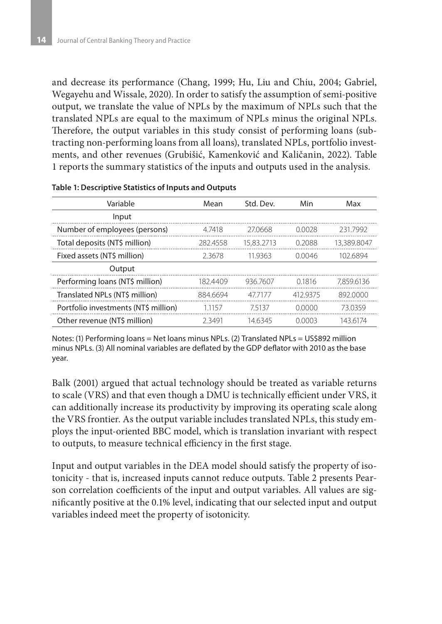and decrease its performance (Chang, 1999; Hu, Liu and Chiu, 2004; Gabriel, Wegayehu and Wissale, 2020). In order to satisfy the assumption of semi-positive output, we translate the value of NPLs by the maximum of NPLs such that the translated NPLs are equal to the maximum of NPLs minus the original NPLs. Therefore, the output variables in this study consist of performing loans (subtracting non-performing loans from all loans), translated NPLs, portfolio investments, and other revenues (Grubišić, Kamenković and Kaličanin, 2022). Table 1 reports the summary statistics of the inputs and outputs used in the analysis.

| Variable                             | Mean     | Std. Dev.  | Min      | Max         |  |
|--------------------------------------|----------|------------|----------|-------------|--|
| Input                                |          |            |          |             |  |
| Number of employees (persons)        | 47418    | 27.0668    | 0.0028   | 2317992     |  |
| Total deposits (NT\$ million)        | 2824558  | 15.83.2713 | 0.2088   | 13,389,8047 |  |
| Fixed assets (NT\$ million)          | 2.3678   | 11.9363    | 0.0046   | 102.6894    |  |
| Output                               |          |            |          |             |  |
| Performing loans (NT\$ million)      | 182.4409 | 936 7607   | 0.1816   | 7.859.6136  |  |
| Translated NPLs (NT\$ million)       | 884.6694 | 477177     | 412 9375 | 892,0000    |  |
| Portfolio investments (NT\$ million) | 11157    | 75137      | 0.0000   | 73.0359     |  |
| Other revenue (NT\$ million)         | 23491    | 146345     | 0.0003   | 143 6174    |  |

#### **Table 1: Descriptive Statistics of Inputs and Outputs**

Notes: (1) Performing loans = Net loans minus NPLs. (2) Translated NPLs = US\$892 million minus NPLs. (3) All nominal variables are deflated by the GDP deflator with 2010 as the base year.

Balk (2001) argued that actual technology should be treated as variable returns to scale (VRS) and that even though a DMU is technically efficient under VRS, it can additionally increase its productivity by improving its operating scale along the VRS frontier. As the output variable includes translated NPLs, this study employs the input-oriented BBC model, which is translation invariant with respect to outputs, to measure technical efficiency in the first stage.

Input and output variables in the DEA model should satisfy the property of isotonicity - that is, increased inputs cannot reduce outputs. Table 2 presents Pearson correlation coefficients of the input and output variables. All values are significantly positive at the 0.1% level, indicating that our selected input and output variables indeed meet the property of isotonicity.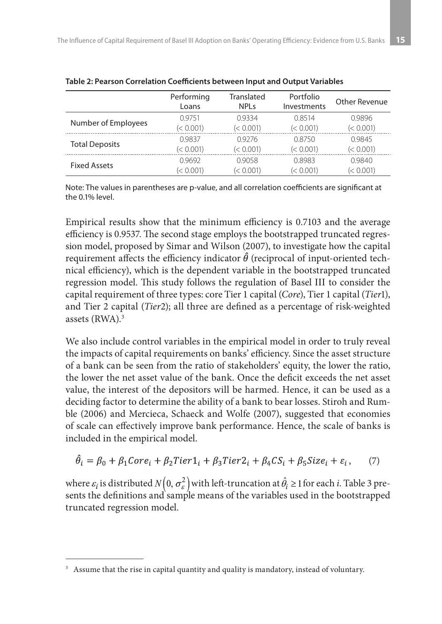|                       | Performing<br>Loans | Translated<br>NPI s | Portfolio<br>Investments | Other Revenue |
|-----------------------|---------------------|---------------------|--------------------------|---------------|
| Number of Employees   | 09751               | 09334               | 0.8514                   | 0.9896        |
|                       | (< 0.001)           | (< 0.001)           | (< 0.001)                | (< 0.001)     |
|                       | 09837               | 09276               | 0.8750                   | 0.9845        |
| <b>Total Deposits</b> | (< 0.001)           | (< 0.001)           | (< 0.001)                | (< 0.001)     |
|                       | 0.9692              | 0.9058              | 0.8983                   | 0.9840        |
| <b>Fixed Assets</b>   | (< 0.001)           | (< 0.001)           | (< 0.001)                | (< 0.001)     |

**Table 2: Pearson Correlation Coefficients between Input and Output Variables**

Note: The values in parentheses are p-value, and all correlation coefficients are significant at the 0.1% level.

Empirical results show that the minimum efficiency is 0.7103 and the average efficiency is 0.9537. The second stage employs the bootstrapped truncated regression model, proposed by Simar and Wilson (2007), to investigate how the capital requirement affects the efficiency indicator  $\hat{\theta}$  (reciprocal of input-oriented technical efficiency), which is the dependent variable in the bootstrapped truncated regression model. This study follows the regulation of Basel III to consider the capital requirement of three types: core Tier 1 capital (*Core*), Tier 1 capital (*Tier*1), and Tier 2 capital (*Tier*2); all three are defined as a percentage of risk-weighted assets (RWA).3

We also include control variables in the empirical model in order to truly reveal the impacts of capital requirements on banks' efficiency. Since the asset structure of a bank can be seen from the ratio of stakeholders' equity, the lower the ratio, the lower the net asset value of the bank. Once the deficit exceeds the net asset value, the interest of the depositors will be harmed. Hence, it can be used as a deciding factor to determine the ability of a bank to bear losses. Stiroh and Rumble (2006) and Mercieca, Schaeck and Wolfe (2007), suggested that economies of scale can effectively improve bank performance. Hence, the scale of banks is included in the empirical model.

$$
\hat{\theta}_i = \beta_0 + \beta_1 \text{Core}_i + \beta_2 \text{Tier1}_i + \beta_3 \text{Tier2}_i + \beta_4 \text{CS}_i + \beta_5 \text{Size}_i + \varepsilon_i, \qquad (7)
$$

where  $\varepsilon_i$  is distributed  $N(0, \sigma_{\varepsilon}^2)$  with left-truncation at  $\hat{\theta}_i \ge 1$  for each *i*. Table 3 presents the definitions and sample means of the variables used in the bootstrapped truncated regression model.

<sup>&</sup>lt;sup>3</sup> Assume that the rise in capital quantity and quality is mandatory, instead of voluntary.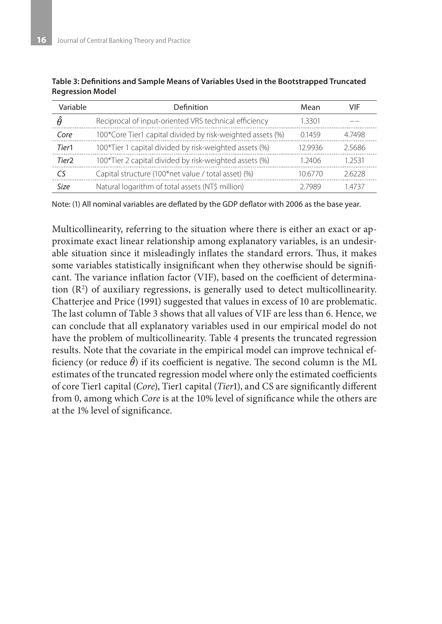| Variable | Definition                                                 | Mean    | VIF    |
|----------|------------------------------------------------------------|---------|--------|
| Â        | Reciprocal of input-oriented VRS technical efficiency      | 1 3301  |        |
| Core     | 100*Core Tier1 capital divided by risk-weighted assets (%) | 01459   | 47498  |
| Tier1    | 100*Tier 1 capital divided by risk-weighted assets (%)     | 12 9936 | 25686  |
| Tier?    | 100*Tier 2 capital divided by risk-weighted assets (%)     | 1 2406  | 1 2531 |
| ٢٢       | Capital structure (100*net value / total asset) (%)        | 10.6770 | 26228  |
| Size     | Natural logarithm of total assets (NT\$ million)           | 7 7989  | 4737   |

**Table 3: Definitions and Sample Means of Variables Used in the Bootstrapped Truncated Regression Model**

Note: (1) All nominal variables are deflated by the GDP deflator with 2006 as the base year.

Multicollinearity, referring to the situation where there is either an exact or approximate exact linear relationship among explanatory variables, is an undesirable situation since it misleadingly inflates the standard errors. Thus, it makes some variables statistically insignificant when they otherwise should be significant. The variance inflation factor (VIF), based on the coefficient of determination (R2 ) of auxiliary regressions, is generally used to detect multicollinearity. Chatterjee and Price (1991) suggested that values in excess of 10 are problematic. The last column of Table 3 shows that all values of VIF are less than 6. Hence, we can conclude that all explanatory variables used in our empirical model do not have the problem of multicollinearity. Table 4 presents the truncated regression results. Note that the covariate in the empirical model can improve technical efficiency (or reduce  $\hat{\theta}$ ) if its coefficient is negative. The second column is the ML estimates of the truncated regression model where only the estimated coefficients of core Tier1 capital (*Core*), Tier1 capital (*Tier*1), and CS are significantly different from 0, among which *Core* is at the 10% level of significance while the others are at the 1% level of significance.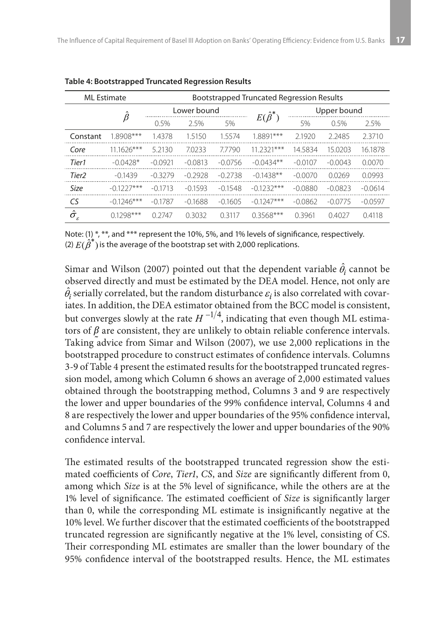| <b>ML</b> Estimate           |              | <b>Bootstrapped Truncated Regression Results</b> |           |           |                    |             |           |           |  |
|------------------------------|--------------|--------------------------------------------------|-----------|-----------|--------------------|-------------|-----------|-----------|--|
|                              | $\beta$      | Lower bound                                      |           |           | $E(\hat{\beta}^*)$ | Upper bound |           |           |  |
|                              |              | 0.5%                                             | 25%       | 5%        |                    | 5%          | 0.5%      | 2.5%      |  |
| Constant                     | 1.8908***    | 1.4378                                           | 1.5150    | 1.5574    | 1.8891***          | 2.1920      | 2.2485    | 2.3710    |  |
| Core                         | $111626***$  | 5.2130                                           | 7.0233    | 77790     | 11 2321***         | 14.5834     | 15 0203   | 16.1878   |  |
| Tier1                        | $-0.0428*$   | $-0.0921$                                        | $-0.0813$ | $-0.0756$ | $-0.0434**$        | $-0.0107$   | $-0.0043$ | 0.0070    |  |
| Tier <sub>2</sub>            | $-0.1439$    | $-0.3279$                                        | $-0.2928$ | $-0.2738$ | $-0.1438**$        | $-0.0070$   | 0.0269    | 0.0993    |  |
| Size                         | $-0.1227***$ | $-0.1713$                                        | $-0.1593$ | $-0.1548$ | $-0.1232***$       | $-0.0880$   | $-0.0823$ | $-0.0614$ |  |
| CS                           | $-0.1246***$ | $-0.1787$                                        | $-0.1688$ | $-0.1605$ | $-0.1247***$       | $-0.0862$   | $-0.0775$ | $-0.0597$ |  |
| $\hat{\sigma_{\varepsilon}}$ | $01298***$   | 0.2747                                           | 0.3032    | 0.3117    | $0.3568***$        | 0.3961      | 0.4027    | 0.4118    |  |

**Table 4: Bootstrapped Truncated Regression Results**

Note: (1) \*, \*\*, and \*\*\* represent the 10%, 5%, and 1% levels of significance, respectively. (2)  $E(\hat{\beta}^*)$  is the average of the bootstrap set with 2,000 replications.

Simar and Wilson (2007) pointed out that the dependent variable  $\hat{\theta}_i$  cannot be observed directly and must be estimated by the DEA model. Hence, not only are  $\hat{\theta}_i$  serially correlated, but the random disturbance  $\varepsilon_i$  is also correlated with covariates. In addition, the DEA estimator obtained from the BCC model is consistent, but converges slowly at the rate  $H^{-1/4}$ , indicating that even though ML estimators of  $\beta$  are consistent, they are unlikely to obtain reliable conference intervals. Taking advice from Simar and Wilson (2007), we use 2,000 replications in the bootstrapped procedure to construct estimates of confidence intervals. Columns 3-9 of Table 4 present the estimated results for the bootstrapped truncated regression model, among which Column 6 shows an average of 2,000 estimated values obtained through the bootstrapping method, Columns 3 and 9 are respectively the lower and upper boundaries of the 99% confidence interval, Columns 4 and 8 are respectively the lower and upper boundaries of the 95% confidence interval, and Columns 5 and 7 are respectively the lower and upper boundaries of the 90% confidence interval.

The estimated results of the bootstrapped truncated regression show the estimated coefficients of *Core*, *Tier1*, *CS*, and *Size* are significantly different from 0, among which *Size* is at the 5% level of significance, while the others are at the 1% level of significance. The estimated coefficient of *Size* is significantly larger than 0, while the corresponding ML estimate is insignificantly negative at the 10% level. We further discover that the estimated coefficients of the bootstrapped truncated regression are significantly negative at the 1% level, consisting of CS. Their corresponding ML estimates are smaller than the lower boundary of the 95% confidence interval of the bootstrapped results. Hence, the ML estimates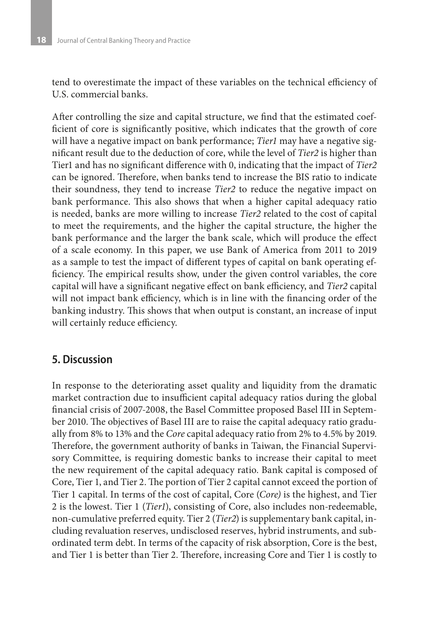tend to overestimate the impact of these variables on the technical efficiency of U.S. commercial banks.

After controlling the size and capital structure, we find that the estimated coefficient of core is significantly positive, which indicates that the growth of core will have a negative impact on bank performance; *Tier1* may have a negative significant result due to the deduction of core, while the level of *Tier2* is higher than Tier1 and has no significant difference with 0, indicating that the impact of *Tier2* can be ignored. Therefore, when banks tend to increase the BIS ratio to indicate their soundness, they tend to increase *Tier2* to reduce the negative impact on bank performance. This also shows that when a higher capital adequacy ratio is needed, banks are more willing to increase *Tier2* related to the cost of capital to meet the requirements, and the higher the capital structure, the higher the bank performance and the larger the bank scale, which will produce the effect of a scale economy. In this paper, we use Bank of America from 2011 to 2019 as a sample to test the impact of different types of capital on bank operating efficiency. The empirical results show, under the given control variables, the core capital will have a significant negative effect on bank efficiency, and *Tier2* capital will not impact bank efficiency, which is in line with the financing order of the banking industry. This shows that when output is constant, an increase of input will certainly reduce efficiency.

## **5. Discussion**

In response to the deteriorating asset quality and liquidity from the dramatic market contraction due to insufficient capital adequacy ratios during the global financial crisis of 2007-2008, the Basel Committee proposed Basel III in September 2010. The objectives of Basel III are to raise the capital adequacy ratio gradually from 8% to 13% and the *Core* capital adequacy ratio from 2% to 4.5% by 2019. Therefore, the government authority of banks in Taiwan, the Financial Supervisory Committee, is requiring domestic banks to increase their capital to meet the new requirement of the capital adequacy ratio. Bank capital is composed of Core, Tier 1, and Tier 2. The portion of Tier 2 capital cannot exceed the portion of Tier 1 capital. In terms of the cost of capital, Core (*Core)* is the highest, and Tier 2 is the lowest. Tier 1 (*Tier1*), consisting of Core, also includes non-redeemable, non-cumulative preferred equity. Tier 2 (*Tier2*) is supplementary bank capital, including revaluation reserves, undisclosed reserves, hybrid instruments, and subordinated term debt. In terms of the capacity of risk absorption, Core is the best, and Tier 1 is better than Tier 2. Therefore, increasing Core and Tier 1 is costly to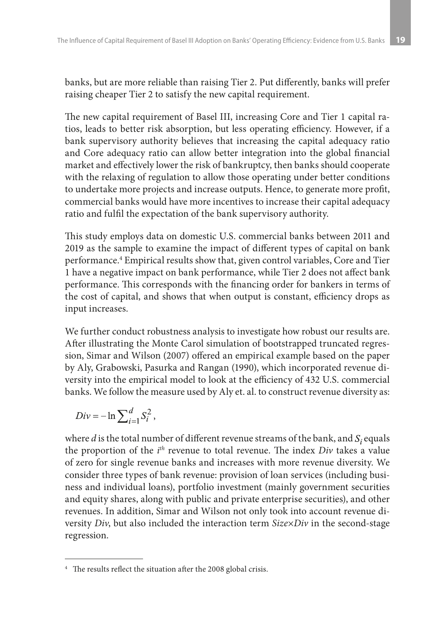banks, but are more reliable than raising Tier 2. Put differently, banks will prefer raising cheaper Tier 2 to satisfy the new capital requirement.

The new capital requirement of Basel III, increasing Core and Tier 1 capital ratios, leads to better risk absorption, but less operating efficiency. However, if a bank supervisory authority believes that increasing the capital adequacy ratio and Core adequacy ratio can allow better integration into the global financial market and effectively lower the risk of bankruptcy, then banks should cooperate with the relaxing of regulation to allow those operating under better conditions to undertake more projects and increase outputs. Hence, to generate more profit, commercial banks would have more incentives to increase their capital adequacy ratio and fulfil the expectation of the bank supervisory authority.

This study employs data on domestic U.S. commercial banks between 2011 and 2019 as the sample to examine the impact of different types of capital on bank performance.4 Empirical results show that, given control variables, Core and Tier 1 have a negative impact on bank performance, while Tier 2 does not affect bank performance. This corresponds with the financing order for bankers in terms of the cost of capital, and shows that when output is constant, efficiency drops as input increases.

We further conduct robustness analysis to investigate how robust our results are. After illustrating the Monte Carol simulation of bootstrapped truncated regression, Simar and Wilson (2007) offered an empirical example based on the paper by Aly, Grabowski, Pasurka and Rangan (1990), which incorporated revenue diversity into the empirical model to look at the efficiency of 432 U.S. commercial banks. We follow the measure used by Aly et. al. to construct revenue diversity as:

$$
Div = -\ln \sum_{i=1}^{d} S_i^2,
$$

where  $d$  is the total number of different revenue streams of the bank, and  $S_i$  equals the proportion of the *i th* revenue to total revenue. The index *Div* takes a value of zero for single revenue banks and increases with more revenue diversity. We consider three types of bank revenue: provision of loan services (including business and individual loans), portfolio investment (mainly government securities and equity shares, along with public and private enterprise securities), and other revenues. In addition, Simar and Wilson not only took into account revenue diversity *Div*, but also included the interaction term *Size×Div* in the second-stage regression.

<sup>4</sup> The results reflect the situation after the 2008 global crisis.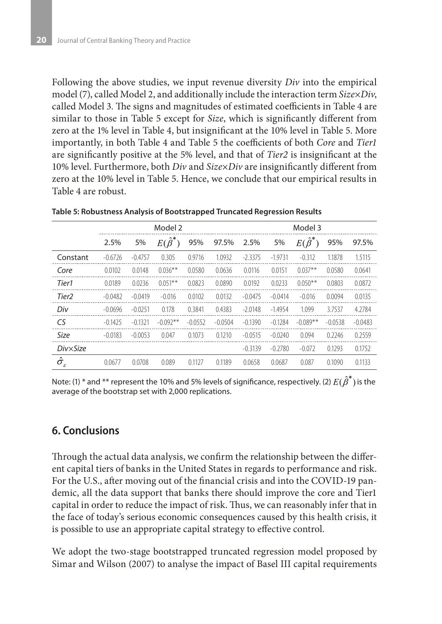Following the above studies, we input revenue diversity *Div* into the empirical model (7), called Model 2, and additionally include the interaction term *Size×Div*, called Model 3. The signs and magnitudes of estimated coefficients in Table 4 are similar to those in Table 5 except for *Size*, which is significantly different from zero at the 1% level in Table 4, but insignificant at the 10% level in Table 5. More importantly, in both Table 4 and Table 5 the coefficients of both *Core* and *Tier1* are significantly positive at the 5% level, and that of *Tier2* is insignificant at the 10% level. Furthermore, both *Div* and *Size×Div* are insignificantly different from zero at the 10% level in Table 5. Hence, we conclude that our empirical results in Table 4 are robust.

|                                                 | Model 2   |           |                    |           |           | Model 3   |           |                    |           |           |
|-------------------------------------------------|-----------|-----------|--------------------|-----------|-----------|-----------|-----------|--------------------|-----------|-----------|
|                                                 | 2.5%      | 5%        | $E(\hat{\beta}^*)$ | 95%       | 97.5%     | 2.5%      | 5%        | $E(\hat{\beta}^*)$ | 95%       | 97.5%     |
| Constant                                        | $-0.6726$ | $-0.4757$ | 0.305              | 0.9716    | 1.0932    | $-2.3375$ | $-1.9731$ | $-0.312$           | 1.1878    | 1.5115    |
| Core                                            | 0.0102    | 0.0148    | $0.036**$          | 0.0580    | 0.0636    | 0.0116    | 0.0151    | $0.037**$          | 0.0580    | 0.0641    |
| Tier1                                           | 0.0189    | 0.0236    | $0.051***$         | 0.0823    | 0.0890    | 0.0192    | 0.0233    | $0.050**$          | 0.0803    | 0.0872    |
| Tier <sub>2</sub>                               | $-0.0482$ | $-0.0419$ | $-0.016$           | 0.0102    | 0.0132    | $-0.0475$ | $-0.0414$ | $-0.016$           | 0.0094    | 0.0135    |
| Div                                             | $-0.0696$ | $-0.0251$ | 0.178              | 0.3841    | 0.4383    | $-2.0148$ | $-1.4954$ | 1.099              | 3.7537    | 4.2784    |
| CS                                              | $-0.1425$ | $-0.1321$ | $-0.092**$         | $-0.0552$ | $-0.0504$ | $-0.1390$ | $-0.1284$ | $-0.089**$         | $-0.0538$ | $-0.0483$ |
| <b>Size</b>                                     | $-0.0183$ | $-0.0053$ | 0.047              | 0.1073    | 0.1210    | $-0.0515$ | $-0.0240$ | 0.094              | 0.2246    | 0.2559    |
| DivxSize                                        |           |           |                    |           |           | $-0.3139$ | $-0.2780$ | $-0.072$           | 0.1293    | 0.1752    |
| $\hat{\sigma_{\scriptscriptstyle \varepsilon}}$ | 0.0677    | 0.0708    | 0.089              | 0.1127    | 0.1189    | 0.0658    | 0.0687    | 0.087              | 0.1090    | 0.1133    |

**Table 5: Robustness Analysis of Bootstrapped Truncated Regression Results**

Note: (1) \* and \*\* represent the 10% and 5% levels of significance, respectively. (2)  $E(\hat{\beta}^*)$  is the average of the bootstrap set with 2,000 replications.

# **6. Conclusions**

Through the actual data analysis, we confirm the relationship between the different capital tiers of banks in the United States in regards to performance and risk. For the U.S., after moving out of the financial crisis and into the COVID-19 pandemic, all the data support that banks there should improve the core and Tier1 capital in order to reduce the impact of risk. Thus, we can reasonably infer that in the face of today's serious economic consequences caused by this health crisis, it is possible to use an appropriate capital strategy to effective control.

We adopt the two-stage bootstrapped truncated regression model proposed by Simar and Wilson (2007) to analyse the impact of Basel III capital requirements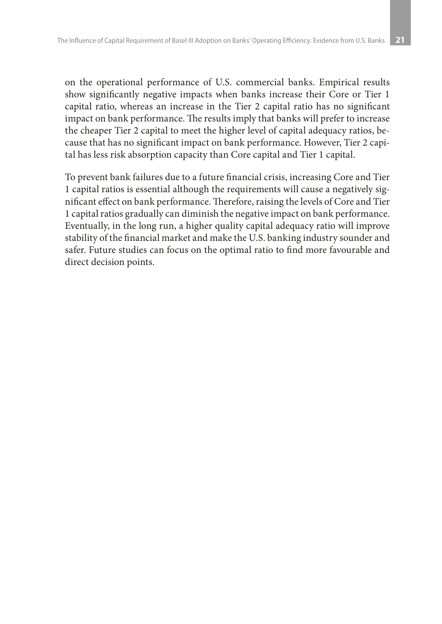on the operational performance of U.S. commercial banks. Empirical results show significantly negative impacts when banks increase their Core or Tier 1 capital ratio, whereas an increase in the Tier 2 capital ratio has no significant impact on bank performance. The results imply that banks will prefer to increase the cheaper Tier 2 capital to meet the higher level of capital adequacy ratios, because that has no significant impact on bank performance. However, Tier 2 capital has less risk absorption capacity than Core capital and Tier 1 capital.

To prevent bank failures due to a future financial crisis, increasing Core and Tier 1 capital ratios is essential although the requirements will cause a negatively significant effect on bank performance. Therefore, raising the levels of Core and Tier 1 capital ratios gradually can diminish the negative impact on bank performance. Eventually, in the long run, a higher quality capital adequacy ratio will improve stability of the financial market and make the U.S. banking industry sounder and safer. Future studies can focus on the optimal ratio to find more favourable and direct decision points.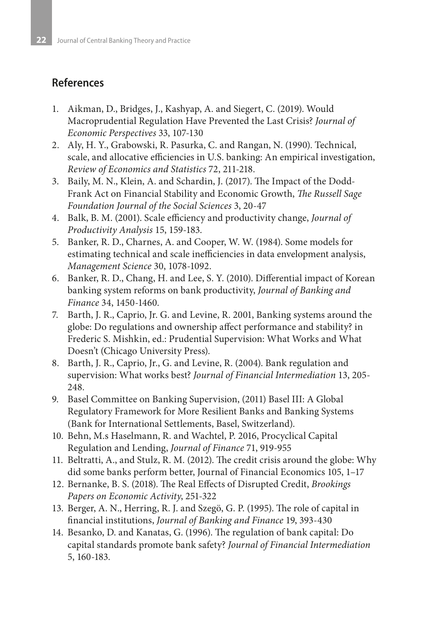# **References**

- 1. Aikman, D., Bridges, J., Kashyap, A. and Siegert, C. (2019). Would Macroprudential Regulation Have Prevented the Last Crisis? *Journal of Economic Perspectives* 33, 107-130
- 2. Aly, H. Y., Grabowski, R. Pasurka, C. and Rangan, N. (1990). Technical, scale, and allocative efficiencies in U.S. banking: An empirical investigation, *Review of Economics and Statistics* 72, 211-218.
- 3. Baily, M. N., Klein, A. and Schardin, J. (2017). The Impact of the Dodd-Frank Act on Financial Stability and Economic Growth, *The Russell Sage Foundation Journal of the Social Sciences* 3, 20-47
- 4. Balk, B. M. (2001). Scale efficiency and productivity change, *Journal of Productivity Analysis* 15, 159-183.
- 5. Banker, R. D., Charnes, A. and Cooper, W. W. (1984). Some models for estimating technical and scale inefficiencies in data envelopment analysis, *Management Science* 30, 1078-1092.
- 6. Banker, R. D., Chang, H. and Lee, S. Y. (2010). Differential impact of Korean banking system reforms on bank productivity, *Journal of Banking and Finance* 34, 1450-1460.
- 7. Barth, J. R., Caprio, Jr. G. and Levine, R. 2001, Banking systems around the globe: Do regulations and ownership affect performance and stability? in Frederic S. Mishkin, ed.: Prudential Supervision: What Works and What Doesn't (Chicago University Press).
- 8. Barth, J. R., Caprio, Jr., G. and Levine, R. (2004). Bank regulation and supervision: What works best? *Journal of Financial Intermediation* 13, 205- 248.
- 9. Basel Committee on Banking Supervision, (2011) Basel III: A Global Regulatory Framework for More Resilient Banks and Banking Systems (Bank for International Settlements, Basel, Switzerland).
- 10. Behn, M.s Haselmann, R. and Wachtel, P. 2016, Procyclical Capital Regulation and Lending, *Journal of Finance* 71, 919-955
- 11. Beltratti, A., and Stulz, R. M. (2012). The credit crisis around the globe: Why did some banks perform better, Journal of Financial Economics 105, 1–17
- 12. Bernanke, B. S. (2018). The Real Effects of Disrupted Credit, *Brookings Papers on Economic Activity*, 251-322
- 13. Berger, A. N., Herring, R. J. and Szegö, G. P. (1995). The role of capital in financial institutions, *Journal of Banking and Finance* 19, 393-430
- 14. Besanko, D. and Kanatas, G. (1996). The regulation of bank capital: Do capital standards promote bank safety? *Journal of Financial Intermediation* 5, 160-183.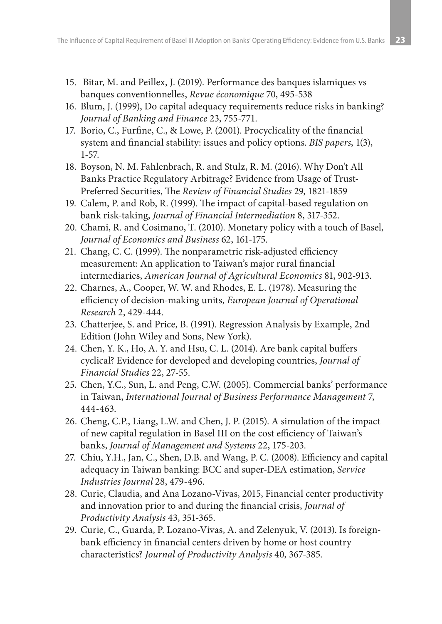- 15. Bitar, M. and Peillex, J. (2019). Performance des banques islamiques vs banques conventionnelles, *Revue économique* 70, 495-538
- 16. Blum, J. (1999), Do capital adequacy requirements reduce risks in banking? *Journal of Banking and Finance* 23, 755-771.
- 17. Borio, C., Furfine, C., & Lowe, P. (2001). Procyclicality of the financial system and financial stability: issues and policy options. *BIS papers*, 1(3), 1-57.
- 18. Boyson, N. M. Fahlenbrach, R. and Stulz, R. M. (2016). Why Don't All Banks Practice Regulatory Arbitrage? Evidence from Usage of Trust-Preferred Securities, The *Review of Financial Studies* 29, 1821-1859
- 19. Calem, P. and Rob, R. (1999). The impact of capital-based regulation on bank risk-taking, *Journal of Financial Intermediation* 8, 317-352.
- 20. Chami, R. and Cosimano, T. (2010). Monetary policy with a touch of Basel, *Journal of Economics and Business* 62, 161-175.
- 21. Chang, C. C. (1999). The nonparametric risk-adjusted efficiency measurement: An application to Taiwan's major rural financial intermediaries, *American Journal of Agricultural Economics* 81, 902-913.
- 22. Charnes, A., Cooper, W. W. and Rhodes, E. L. (1978). Measuring the efficiency of decision-making units, *European Journal of Operational Research* 2, 429-444.
- 23. Chatterjee, S. and Price, B. (1991). Regression Analysis by Example, 2nd Edition (John Wiley and Sons, New York).
- 24. Chen, Y. K., Ho, A. Y. and Hsu, C. L. (2014). Are bank capital buffers cyclical? Evidence for developed and developing countries, *Journal of Financial Studies* 22, 27-55.
- 25. Chen, Y.C., Sun, L. and Peng, C.W. (2005). Commercial banks' performance in Taiwan, *International Journal of Business Performance Management* 7, 444-463.
- 26. Cheng, C.P., Liang, L.W. and Chen, J. P. (2015). A simulation of the impact of new capital regulation in Basel III on the cost efficiency of Taiwan's banks, *Journal of Management and Systems* 22, 175-203.
- 27. Chiu, Y.H., Jan, C., Shen, D.B. and Wang, P. C. (2008). Efficiency and capital adequacy in Taiwan banking: BCC and super-DEA estimation, *Service Industries Journal* 28, 479-496.
- 28. Curie, Claudia, and Ana Lozano-Vivas, 2015, Financial center productivity and innovation prior to and during the financial crisis, *Journal of Productivity Analysis* 43, 351-365.
- 29. Curie, C., Guarda, P. Lozano-Vivas, A. and Zelenyuk, V. (2013). Is foreignbank efficiency in financial centers driven by home or host country characteristics? *Journal of Productivity Analysis* 40, 367-385.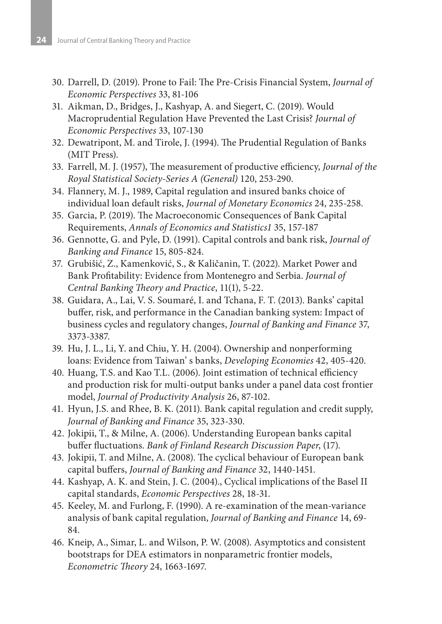- 30. Darrell, D. (2019). Prone to Fail: The Pre-Crisis Financial System, *Journal of Economic Perspectives* 33, 81-106
- 31. Aikman, D., Bridges, J., Kashyap, A. and Siegert, C. (2019). Would Macroprudential Regulation Have Prevented the Last Crisis? *Journal of Economic Perspectives* 33, 107-130
- 32. Dewatripont, M. and Tirole, J. (1994). The Prudential Regulation of Banks (MIT Press).
- 33. Farrell, M. J. (1957), The measurement of productive efficiency, *Journal of the Royal Statistical Society-Series A (General)* 120, 253-290.
- 34. Flannery, M. J., 1989, Capital regulation and insured banks choice of individual loan default risks, *Journal of Monetary Economics* 24, 235-258.
- 35. Garcia, P. (2019). The Macroeconomic Consequences of Bank Capital Requirements, *Annals of Economics and Statistics1* 35, 157-187
- 36. Gennotte, G. and Pyle, D. (1991). Capital controls and bank risk, *Journal of Banking and Finance* 15, 805-824.
- 37. Grubišić, Z., Kamenković, S., & Kaličanin, T. (2022). Market Power and Bank Profitability: Evidence from Montenegro and Serbia. *Journal of Central Banking Theory and Practice*, 11(1), 5-22.
- 38. Guidara, A., Lai, V. S. Soumaré, I. and Tchana, F. T. (2013). Banks' capital buffer, risk, and performance in the Canadian banking system: Impact of business cycles and regulatory changes, *Journal of Banking and Finance* 37, 3373-3387.
- 39. Hu, J. L., Li, Y. and Chiu, Y. H. (2004). Ownership and nonperforming loans: Evidence from Taiwan' s banks, *Developing Economies* 42, 405-420.
- 40. Huang, T.S. and Kao T.L. (2006). Joint estimation of technical efficiency and production risk for multi-output banks under a panel data cost frontier model, *Journal of Productivity Analysis* 26, 87-102.
- 41. Hyun, J.S. and Rhee, B. K. (2011). Bank capital regulation and credit supply, *Journal of Banking and Finance* 35, 323-330.
- 42. Jokipii, T., & Milne, A. (2006). Understanding European banks capital buffer fluctuations. *Bank of Finland Research Discussion Paper*, (17).
- 43. Jokipii, T. and Milne, A. (2008). The cyclical behaviour of European bank capital buffers, *Journal of Banking and Finance* 32, 1440-1451.
- 44. Kashyap, A. K. and Stein, J. C. (2004)., Cyclical implications of the Basel II capital standards, *Economic Perspectives* 28, 18-31.
- 45. Keeley, M. and Furlong, F. (1990). A re-examination of the mean-variance analysis of bank capital regulation, *Journal of Banking and Finance* 14, 69- 84.
- 46. Kneip, A., Simar, L. and Wilson, P. W. (2008). Asymptotics and consistent bootstraps for DEA estimators in nonparametric frontier models, *Econometric Theory* 24, 1663-1697.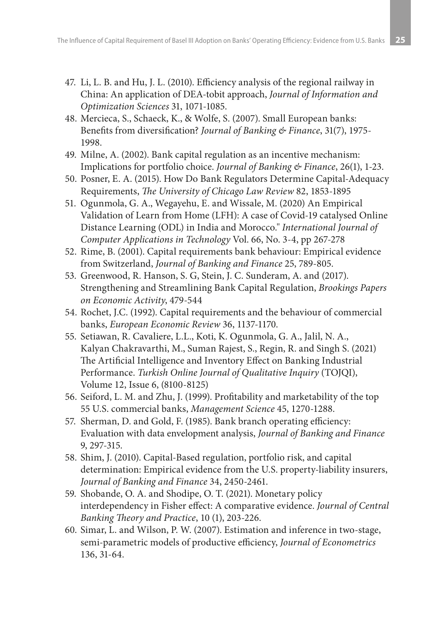- 47. Li, L. B. and Hu, J. L. (2010). Efficiency analysis of the regional railway in China: An application of DEA-tobit approach, *Journal of Information and Optimization Sciences* 31, 1071-1085.
- 48. Mercieca, S., Schaeck, K., & Wolfe, S. (2007). Small European banks: Benefits from diversification? *Journal of Banking & Finance*, 31(7), 1975- 1998.
- 49. Milne, A. (2002). Bank capital regulation as an incentive mechanism: Implications for portfolio choice. *Journal of Banking & Finance*, 26(1), 1-23.
- 50. Posner, E. A. (2015). How Do Bank Regulators Determine Capital-Adequacy Requirements, *The University of Chicago Law Review* 82, 1853-1895
- 51. Ogunmola, G. A., Wegayehu, E. and Wissale, M. (2020) An Empirical Validation of Learn from Home (LFH): A case of Covid-19 catalysed Online Distance Learning (ODL) in India and Morocco." *International Journal of Computer Applications in Technology* Vol. 66, No. 3-4, pp 267-278
- 52. Rime, B. (2001). Capital requirements bank behaviour: Empirical evidence from Switzerland, *Journal of Banking and Finance* 25, 789-805.
- 53. Greenwood, R. Hanson, S. G, Stein, J. C. Sunderam, A. and (2017). Strengthening and Streamlining Bank Capital Regulation, *Brookings Papers on Economic Activity*, 479-544
- 54. Rochet, J.C. (1992). Capital requirements and the behaviour of commercial banks, *European Economic Review* 36, 1137-1170.
- 55. Setiawan, R. Cavaliere, L.L., Koti, K. Ogunmola, G. A., Jalil, N. A., Kalyan Chakravarthi, M., Suman Rajest, S., Regin, R. and Singh S. (2021) The Artificial Intelligence and Inventory Effect on Banking Industrial Performance. *Turkish Online Journal of Qualitative Inquiry* (TOJQI), Volume 12, Issue 6, (8100-8125)
- 56. Seiford, L. M. and Zhu, J. (1999). Profitability and marketability of the top 55 U.S. commercial banks, *Management Science* 45, 1270-1288.
- 57. Sherman, D. and Gold, F. (1985). Bank branch operating efficiency: Evaluation with data envelopment analysis, *Journal of Banking and Finance* 9, 297-315.
- 58. Shim, J. (2010). Capital-Based regulation, portfolio risk, and capital determination: Empirical evidence from the U.S. property-liability insurers, *Journal of Banking and Finance* 34, 2450-2461.
- 59. Shobande, O. A. and Shodipe, O. T. (2021). Monetary policy interdependency in Fisher effect: A comparative evidence. *Journal of Central Banking Theory and Practice*, 10 (1), 203-226.
- 60. Simar, L. and Wilson, P. W. (2007). Estimation and inference in two-stage, semi-parametric models of productive efficiency, *Journal of Econometrics* 136, 31-64.